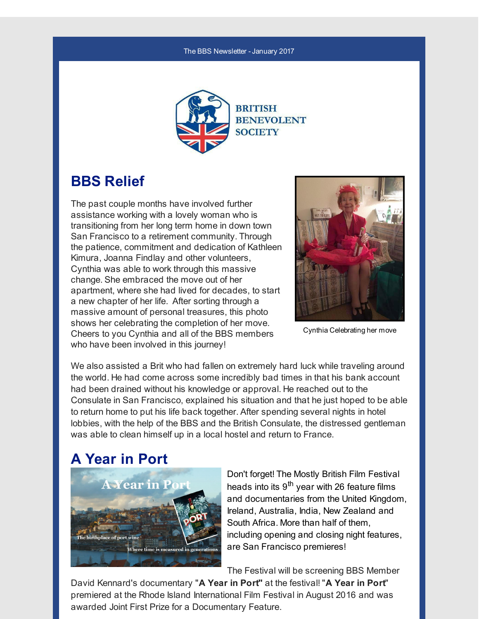#### The BBS Newsletter -January 2017



## **BBS Relief**

The past couple months have involved further assistance working with a lovely woman who is transitioning from her long term home in down town San Francisco to a retirement community. Through the patience, commitment and dedication of Kathleen Kimura, Joanna Findlay and other volunteers, Cynthia was able to work through this massive change. She embraced the move out of her apartment, where she had lived for decades, to start a new chapter of her life. After sorting through a massive amount of personal treasures, this photo shows her celebrating the completion of her move. Cheers to you Cynthia and all of the BBS members who have been involved in this journey!



Cynthia Celebrating her move

We also assisted a Brit who had fallen on extremely hard luck while traveling around the world. He had come across some incredibly bad times in that his bank account had been drained without his knowledge or approval. He reached out to the Consulate in San Francisco, explained his situation and that he just hoped to be able to return home to put his life back together. After spending several nights in hotel lobbies, with the help of the BBS and the British Consulate, the distressed gentleman was able to clean himself up in a local hostel and return to France.

## **A Year in Port**



Don't forget! The Mostly British Film Festival heads into its 9<sup>th</sup> year with 26 feature films and documentaries from the United Kingdom, Ireland, Australia, India, New Zealand and South Africa. More than half of them, including opening and closing night features, are San Francisco premieres!

The Festival will be screening BBS Member

David Kennard's documentary "**A Year in Port"** at the festival! "**A Year in Port**" premiered at the Rhode Island International Film Festival in August 2016 and was awarded Joint First Prize for a Documentary Feature.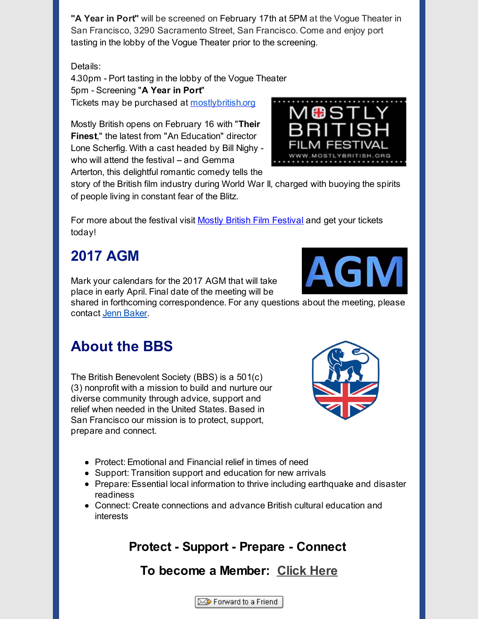**"A Year in Port"** will be screened on February 17th at 5PM at the Vogue Theater in San Francisco, 3290 Sacramento Street, San Francisco. Come and enjoy port tasting in the lobby of the Vogue Theater prior to the screening.

Details:

4.30pm - Port tasting in the lobby of the Vogue Theater 5pm - Screening "**A Year in Port**" Tickets may be purchased at [mostlybritish.org](http://r20.rs6.net/tn.jsp?f=001Root8oZ3fH1DGPICDfm_25kt1NxyCfnx4ImY42FbE9bdbpx0aaXMiE0wiE7Hn2Lo9KchXrXXJSt2AGgs7WMyI7SuHwmf3QJUTG0bxsVIFK1F-aKllbo7XknGGlcG9ugNxxVRXyqTHki_YgOaqEZvZa5aPjBZ0SFiBQJifRDIsrY=&c=&ch=)

Mostly British opens on February 16 with "**Their Finest**," the latest from "An Education" director Lone Scherfig. With a cast headed by Bill Nighy who will attend the festival - and Gemma Arterton, this delightful romantic comedy tells the



For more about the festival visit Mostly British Film [Festival](http://r20.rs6.net/tn.jsp?f=001Root8oZ3fH1DGPICDfm_25kt1NxyCfnx4ImY42FbE9bdbpx0aaXMiE0wiE7Hn2Lo9KchXrXXJSt2AGgs7WMyI7SuHwmf3QJUTG0bxsVIFK1F-aKllbo7XknGGlcG9ugNxxVRXyqTHki_YgOaqEZvZa5aPjBZ0SFiBQJifRDIsrY=&c=&ch=) and get your tickets today!

# **2017 AGM**

Mark your calendars for the 2017 AGM that will take place in early April. Final date of the meeting will be

shared in forthcoming correspondence. For any questions about the meeting, please contact Jenn [Baker](mailto:jennifer.baker@britishbenevolentsociety.org).

## **About the BBS**

The British Benevolent Society (BBS) is a 501(c) (3) nonprofit with a mission to build and nurture our diverse community through advice, support and relief when needed in the United States. Based in San Francisco our mission is to protect, support, prepare and connect.

- Protect: Emotional and Financial relief in times of need
- Support: Transition support and education for new arrivals
- Prepare: Essential local information to thrive including earthquake and disaster readiness
- Connect: Create connections and advance British cultural education and interests

## **Protect - Support - Prepare - Connect**

## **To become a Member: [Click](http://r20.rs6.net/tn.jsp?f=001Root8oZ3fH1DGPICDfm_25kt1NxyCfnx4ImY42FbE9bdbpx0aaXMiDttpehFM4P8d1jGsLhTanGtcxI4V8BABTAn_9xniahWV72e7dfzTxJnqPL_TENsflphM9gClN2KHnyLJX1_iRfItHOKs_zh31-SG44lD3kdoEKoLj2oSrM33FTYCvpzNtF0E2BPZu0qBZE3BNvynVkcYFVNUmCd67-Ddv3JhVws&c=&ch=) Here**

Forward to a Friend